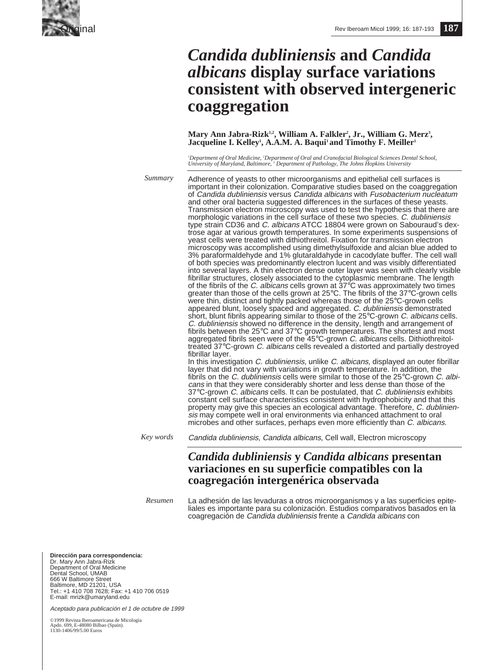

# *Candida dubliniensis* **and** *Candida albicans* **display surface variations consistent with observed intergeneric coaggregation**

Mary Ann Jabra-Rizk<sup>1,2</sup>, William A. Falkler<sup>2</sup>, Jr., William G. Merz<sup>3</sup>, Jacqueline I. Kelley<sup>1</sup>, A.A.M. A. Baqui<sup>1</sup> and Timothy F. Meiller<sup>1</sup>

'Department of Oral Medicine, <sup>2</sup>Department of Oral and Cranofacial Biological Sciences Dental School,<br>University of Maryland, Baltimore, <sup>3</sup> Department of Pathology, The Johns Hopkins University

*Summary*

Adherence of yeasts to other microorganisms and epithelial cell surfaces is important in their colonization. Comparative studies based on the coaggregation of Candida dubliniensis versus Candida albicans with Fusobacterium nucleatum and other oral bacteria suggested differences in the surfaces of these yeasts. Transmission electron microscopy was used to test the hypothesis that there are morphologic variations in the cell surface of these two species. C. dubliniensis type strain CD36 and C. albicans ATCC 18804 were grown on Sabouraud's dextrose agar at various growth temperatures. In some experiments suspensions of yeast cells were treated with dithiothreitol. Fixation for transmission electron microscopy was accomplished using dimethylsulfoxide and alcian blue added to 3% paraformaldehyde and 1% glutaraldahyde in cacodylate buffer. The cell wall of both species was predominantly electron lucent and was visibly differentiated into several layers. A thin electron dense outer layer was seen with clearly visible fibrillar structures, closely associated to the cytoplasmic membrane. The length of the fibrils of the C. albicans cells grown at  $37^{\circ}$ C was approximately two times greater than those of the cells grown at 25°C. The fibrils of the 37°C-grown cells were thin, distinct and tightly packed whereas those of the 25°C-grown cells appeared blunt, loosely spaced and aggregated. C. dubliniensis demonstrated short, blunt fibrils appearing similar to those of the 25°C-grown C. albicans cells. C. dubliniensis showed no difference in the density, length and arrangement of fibrils between the 25°C and 37°C growth temperatures. The shortest and most aggregated fibrils seen were of the 45°C-grown C. albicans cells. Dithiothreitoltreated 37°C-grown C. albicans cells revealed a distorted and partially destroyed fibrillar layer.

In this investigation C. dubliniensis, unlike C. albicans, displayed an outer fibrillar layer that did not vary with variations in growth temperature. In addition, the fibrils on the C. dubliniensis cells were similar to those of the  $25^{\circ}$ C-grown C. albicans in that they were considerably shorter and less dense than those of the 37°C-grown C. albicans cells. It can be postulated, that C. dubliniensis exhibits constant cell surface characteristics consistent with hydrophobicity and that this property may give this species an ecological advantage. Therefore, C. dubliniensis may compete well in oral environments via enhanced attachment to oral microbes and other surfaces, perhaps even more efficiently than C. albicans.

*Key words*

Candida dubliniensis, Candida albicans, Cell wall, Electron microscopy

## *Candida dubliniensis* **y** *Candida albicans* **presentan variaciones en su superficie compatibles con la coagregación intergenérica observada**

*Resumen*

La adhesión de las levaduras a otros microorganismos y a las superficies epiteliales es importante para su colonización. Estudios comparativos basados en la coagregación de Candida dubliniensis frente a Candida albicans con

**Dirección para correspondencia:**  Dr. Mary Ann Jabra-Rizk Department of Oral Medicine Dental School, UMAB 666 W Baltimore Street Baltimore, MD 21201, USA Tel.: +1 410 708 7628; Fax: +1 410 706 0519 E-mail: mrizk@umaryland.edu

Aceptado para publicación el 1 de octubre de 1999

©1999 Revista Iberoamericana de Micología Apdo. 699, E-48080 Bilbao (Spain). 1130-1406/99/5.00 Euros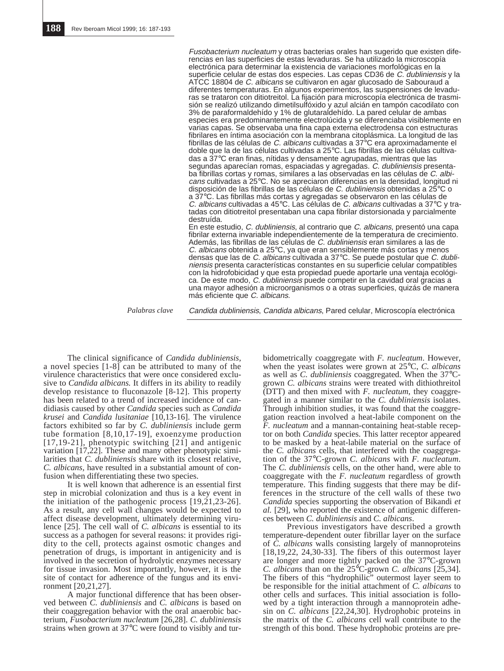Fusobacterium nucleatum y otras bacterias orales han sugerido que existen diferencias en las superficies de estas levaduras. Se ha utilizado la microscopía electrónica para determinar la existencia de variaciones morfológicas en la superficie celular de estas dos especies. Las cepas CD36 de C. dubliniensis y la ATCC 18804 de C. albicans se cultivaron en agar glucosado de Sabouraud a diferentes temperaturas. En algunos experimentos, las suspensiones de levaduras se trataron con ditiotreitol. La fijación para microscopía electrónica de trasmisión se realizó utilizando dimetilsulfóxido y azul alcián en tampón cacodilato con 3% de paraformaldehído y 1% de glutaraldehído. La pared celular de ambas especies era predominantemente electrolúcida y se diferenciaba visiblemente en varias capas. Se observaba una fina capa externa electrodensa con estructuras fibrilares en íntima asociación con la membrana citoplásmica. La longitud de las fibrillas de las células de C. albicans cultivadas a 37°C era aproximadamente el doble que la de las células cultivadas a 25°C. Las fibrillas de las células cultivadas a 37°C eran finas, nítidas y densamente agrupadas, mientras que las segundas aparecían romas, espaciadas y agregadas. C. dubliniensis presentaba fibrillas cortas y romas, similares a las observadas en las células de C. albicans cultivadas a 25°C. No se apreciaron diferencias en la densidad, longitud ni disposición de las fibrillas de las células de C. dubliniensis obtenidas a 25°C o a 37°C. Las fibrillas más cortas y agregadas se observaron en las células de C. albicans cultivadas a 45°C. Las células de C. albicans cultivadas a 37°C y tratadas con ditiotreitol presentaban una capa fibrilar distorsionada y parcialmente destruída.

En este estudio, C. dubliniensis, al contrario que C. albicans, presentó una capa fibrilar externa invariable independientemente de la temperatura de crecimiento. Además, las fibrillas de las células de C. dubliniensis eran similares a las de C. albicans obtenida a 25 $\degree$ C, ya que eran sensiblemente más cortas y menos densas que las de C. albicans cultivada a 37°C. Se puede postular que C. dubliniensis presenta características constantes en su superficie celular compatibles con la hidrofobicidad y que esta propiedad puede aportarle una ventaja ecológica. De este modo, C. dubliniensis puede competir en la cavidad oral gracias a una mayor adhesión a microorganismos o a otras superficies, quizás de manera más eficiente que C. albicans.

*Palabras clave* Candida dubliniensis, Candida albicans, Pared celular, Microscopía electrónica

The clinical significance of *Candida dubliniensis,* a novel species [1-8] can be attributed to many of the virulence characteristics that were once considered exclusive to *Candida albicans.* It differs in its ability to readily develop resistance to fluconazole [8-12]. This property has been related to a trend of increased incidence of candidiasis caused by other *Candida* species such as *Candida krusei* and *Candida lusitaniae* [10,13-16]. The virulence factors exhibited so far by *C. dubliniensis* include germ tube formation [8,10,17-19], exoenzyme production [17,19-21], phenotypic switching [21] and antigenic variation [17,22]. These and many other phenotypic similarities that *C. dubliniensis* share with its closest relative, *C. albicans,* have resulted in a substantial amount of confusion when differentiating these two species.

It is well known that adherence is an essential first step in microbial colonization and thus is a key event in the initiation of the pathogenic process [19,21,23-26]. As a result, any cell wall changes would be expected to affect disease development, ultimately determining virulence [25]. The cell wall of *C. albicans* is essential to its success as a pathogen for several reasons: it provides rigidity to the cell, protects against osmotic changes and penetration of drugs, is important in antigenicity and is involved in the secretion of hydrolytic enzymes necessary for tissue invasion. Most importantly, however, it is the site of contact for adherence of the fungus and its environment [20,21,27].

A major functional difference that has been observed between *C. dubliniensis* and *C. albicans* is based on their coaggregation behavior with the oral anaerobic bacterium, *Fusobacterium nucleatum* [26,28]. *C. dubliniensis* strains when grown at 37°C were found to visibly and tur-

bidometrically coaggregate with *F. nucleatum*. However, when the yeast isolates were grown at 25°C, *C. albicans* as well as *C. dubliniensis* coaggregated. When the 37°Cgrown *C. albicans* strains were treated with dithiothreitol (DTT) and then mixed with *F. nucleatum*, they coaggregated in a manner similar to the *C. dubliniensis* isolates. Through inhibition studies, it was found that the coaggregation reaction involved a heat-labile component on the *F. nucleatum* and a mannan-containing heat-stable receptor on both *Candida* species. This latter receptor appeared to be masked by a heat-labile material on the surface of the *C. albicans* cells, that interfered with the coaggregation of the 37°C-grown *C. albicans* with *F. nucleatum*. The *C. dubliniensis* cells, on the other hand, were able to coaggregate with the *F. nucleatum* regardless of growth temperature. This finding suggests that there may be differences in the structure of the cell walls of these two *Candida* species supporting the observation of Bikandi *et al.* [29], who reported the existence of antigenic differences between *C. dubliniensis* and *C. albicans*.

Previous investigators have described a growth temperature-dependent outer fibrillar layer on the surface of *C. albicans* walls consisting largely of mannoproteins  $[18,19,22, 24,30-33]$ . The fibers of this outermost layer are longer and more tightly packed on the 37°C-grown *C. albicans* than on the 25°C-grown *C. albicans* [25,34]. The fibers of this "hydrophilic" outermost layer seem to be responsible for the initial attachment of *C. albicans* to other cells and surfaces. This initial association is followed by a tight interaction through a mannoprotein adhesin on *C. albicans* [22,24,30]. Hydrophobic proteins in the matrix of the *C. albicans* cell wall contribute to the strength of this bond. These hydrophobic proteins are pre-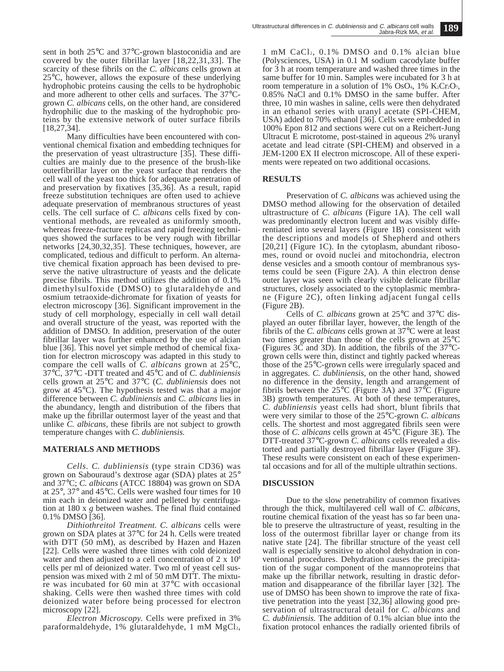sent in both 25°C and 37°C-grown blastoconidia and are covered by the outer fibrillar layer [18,22,31,33]. The scarcity of these fibrils on the *C. albicans* cells grown at 25°C, however, allows the exposure of these underlying hydrophobic proteins causing the cells to be hydrophobic and more adherent to other cells and surfaces. The 37°Cgrown *C. albicans* cells, on the other hand, are considered hydrophilic due to the masking of the hydrophobic proteins by the extensive network of outer surface fibrils [18,27,34].

Many difficulties have been encountered with conventional chemical fixation and embedding techniques for the preservation of yeast ultrastructure [35]. These difficulties are mainly due to the presence of the brush-like outerfibrillar layer on the yeast surface that renders the cell wall of the yeast too thick for adequate penetration of and preservation by fixatives [35,36]. As a result, rapid freeze substitution techniques are often used to achieve adequate preservation of membranous structures of yeast cells. The cell surface of *C. albicans* cells fixed by conventional methods, are revealed as uniformly smooth, whereas freeze-fracture replicas and rapid freezing techniques showed the surfaces to be very rough with fibrillar networks [24,30,32,35]. These techniques, however, are complicated, tedious and difficult to perform. An alternative chemical fixation approach has been devised to preserve the native ultrastructure of yeasts and the delicate precise fibrils. This method utilizes the addition of 0.1% dimethylsulfoxide (DMSO) to glutaraldehyde and osmium tetraoxide-dichromate for fixation of yeasts for electron microscopy [36]. Significant improvement in the study of cell morphology, especially in cell wall detail and overall structure of the yeast, was reported with the addition of DMSO. In addition, preservation of the outer fibrillar layer was further enhanced by the use of alcian blue [36]. This novel yet simple method of chemical fixation for electron microscopy was adapted in this study to compare the cell walls of *C. albicans* grown at 25°C, 37°C, 37°C -DTT treated and 45°C and of *C. dubliniensis* cells grown at 25°C and 37°C (*C. dubliniensis* does not grow at 45°C). The hypothesis tested was that a major difference between *C. dubliniensis* and *C. albicans* lies in the abundancy, length and distribution of the fibers that make up the fibrillar outermost layer of the yeast and that unlike *C. albicans*, these fibrils are not subject to growth temperature changes with *C. dubliniensis.*

### **MATERIALS AND METHODS**

*Cells. C. dubliniensis* (type strain CD36) was grown on Sabouraud's dextrose agar (SDA) plates at 25° and 37°C; *C. albicans* (ATCC 18804) was grown on SDA at 25°, 37° and 45°C. Cells were washed four times for 10 min each in deionized water and pelleted by centrifugation at 180 x *g* between washes. The final fluid contained 0.1% DMSO [36].

*Dithiothreitol Treatment. C. albicans* cells were grown on SDA plates at 37°C for 24 h. Cells were treated with DTT (50 mM), as described by Hazen and Hazen [22]. Cells were washed three times with cold deionized water and then adjusted to a cell concentration of 2 x 10<sup>8</sup> cells per ml of deionized water. Two ml of yeast cell suspension was mixed with 2 ml of 50 mM DTT. The mixture was incubated for 60 min at 37°C with occasional shaking. Cells were then washed three times with cold deionized water before being processed for electron microscopy [22].

*Electron Microscopy.* Cells were prefixed in 3% paraformaldehyde, 1% glutaraldehyde, 1 mM MgCl<sub>2</sub>, 1 mM CaCl<sub>2</sub>,  $0.1\%$  DMSO and  $0.1\%$  alcian blue (Polysciences, USA) in 0.1 M sodium cacodylate buffer for 3 h at room temperature and washed three times in the same buffer for 10 min. Samples were incubated for 3 h at room temperature in a solution of 1% OsO<sub>4</sub>, 1% K<sub>2</sub>Cr<sub>2</sub>O<sub>7</sub>, 0.85% NaCl and 0.1% DMSO in the same buffer. After three, 10 min washes in saline, cells were then dehydrated in an ethanol series with uranyl acetate (SPI-CHEM, USA) added to 70% ethanol [36]. Cells were embedded in 100% Epon 812 and sections were cut on a Reichert-Jung Ultracut E microtome, post-stained in aqueous 2% uranyl acetate and lead citrate (SPI-CHEM) and observed in a JEM-1200 EX II electron microscope. All of these experiments were repeated on two additional occasions.

#### **RESULTS**

Preservation of *C. albicans* was achieved using the DMSO method allowing for the observation of detailed ultrastructure of *C. albicans* (Figure 1A). The cell wall was predominantly electron lucent and was visibly differentiated into several layers (Figure 1B) consistent with the descriptions and models of Shepherd and others [20,21] (Figure 1C). In the cytoplasm, abundant ribosomes, round or ovoid nuclei and mitochondria, electron dense vesicles and a smooth contour of membranous systems could be seen (Figure 2A). A thin electron dense outer layer was seen with clearly visible delicate fibrillar structures, closely associated to the cytoplasmic membrane (Figure 2C), often linking adjacent fungal cells (Figure 2B).

Cells of *C. albicans* grown at 25°C and 37°C displayed an outer fibrillar layer, however, the length of the fibrils of the *C. albicans* cells grown at 37°C were at least two times greater than those of the cells grown at 25°C (Figures 3C and 3D). In addition, the fibrils of the 37°Cgrown cells were thin, distinct and tightly packed whereas those of the 25°C-grown cells were irregularly spaced and in aggregates. *C. dubliniensis*, on the other hand, showed no difference in the density, length and arrangement of fibrils between the  $25^{\circ}$ C (Figure 3A) and  $37^{\circ}$ C (Figure 3B) growth temperatures. At both of these temperatures, *C. dubliniensis* yeast cells had short, blunt fibrils that were very similar to those of the 25°C-grown *C. albicans* cells. The shortest and most aggregated fibrils seen were those of *C. albicans* cells grown at 45°C (Figure 3E). The DTT-treated 37°C-grown *C. albicans* cells revealed a distorted and partially destroyed fibrillar layer (Figure 3F). These results were consistent on each of these experimental occasions and for all of the multiple ultrathin sections.

#### **DISCUSSION**

Due to the slow penetrability of common fixatives through the thick, multilayered cell wall of *C. albicans*, routine chemical fixation of the yeast has so far been unable to preserve the ultrastructure of yeast, resulting in the loss of the outermost fibrillar layer or change from its native state [24]. The fibrillar structure of the yeast cell wall is especially sensitive to alcohol dehydration in conventional procedures. Dehydration causes the precipitation of the sugar component of the mannoproteins that make up the fibrillar network, resulting in drastic deformation and disappearance of the fibrillar layer [32]. The use of DMSO has been shown to improve the rate of fixative penetration into the yeast [32,36] allowing good preservation of ultrastructural detail for *C. albicans* and *C. dubliniensis.* The addition of 0.1% alcian blue into the fixation protocol enhances the radially oriented fibrils of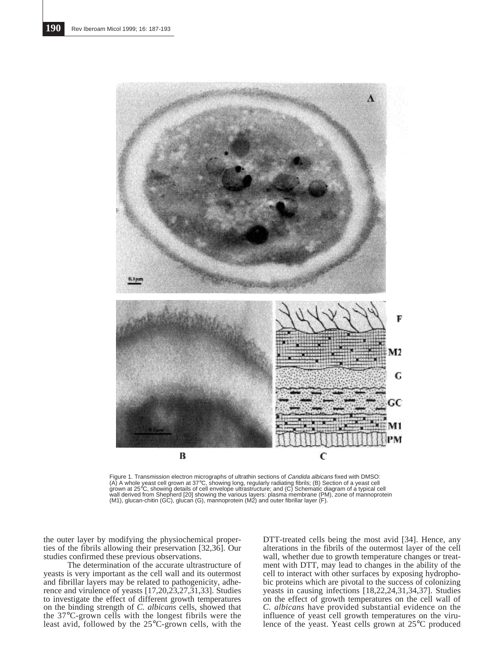

Figure 1. Transmission electron micrographs of ultrathin sections of *Candida albicans* fixed with DMSO:<br>(A) A whole yeast cell grown at 37°C, showing long, regularly radiating fibrils; (B) Section of a yeast cell grown at 25°C, showing details of cell envelope ultrastructure; and (C) Schematic diagram of a typical cell<br>wall derived from Shepherd [20] showing the various layers: plasma membrane (PM), zone of mannoprotein<br>(M1), glu

the outer layer by modifying the physiochemical properties of the fibrils allowing their preservation [32,36]. Our studies confirmed these previous observations.

The determination of the accurate ultrastructure of yeasts is very important as the cell wall and its outermost and fibrillar layers may be related to pathogenicity, adherence and virulence of yeasts [17,20,23,27,31,33]. Studies to investigate the effect of different growth temperatures on the binding strength of *C. albicans* cells, showed that the 37°C-grown cells with the longest fibrils were the least avid, followed by the 25°C-grown cells, with the

DTT-treated cells being the most avid [34]. Hence, any alterations in the fibrils of the outermost layer of the cell wall, whether due to growth temperature changes or treatment with DTT, may lead to changes in the ability of the cell to interact with other surfaces by exposing hydrophobic proteins which are pivotal to the success of colonizing yeasts in causing infections [18,22,24,31,34,37]. Studies on the effect of growth temperatures on the cell wall of *C. albicans* have provided substantial evidence on the influence of yeast cell growth temperatures on the virulence of the yeast. Yeast cells grown at 25°C produced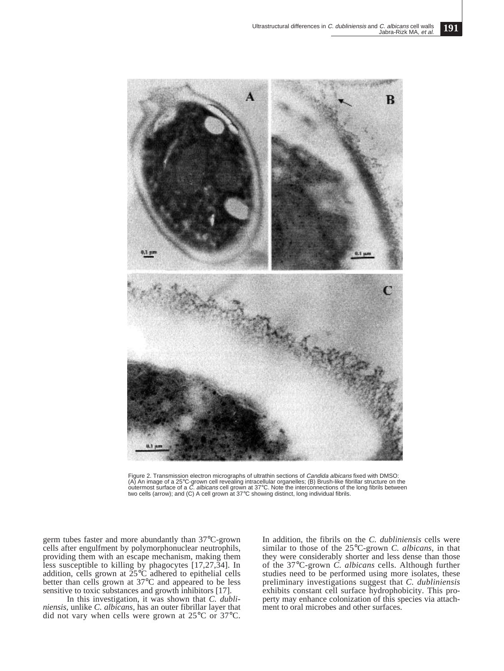

Figure 2. Transmission electron micrographs of ultrathin sections of Candida albicans fixed with DMSO: (A) An image of a 25°C-grown cell revealing intracellular organelles; (B) Brush-like fibrillar structure on the<br>outermost surface of a *C. albicans* cell grown at 37°C. Note the interconnections of the long fibrils between two cells (arrow); and (C) A cell grown at 37°C showing distinct, long individual fibrils.

germ tubes faster and more abundantly than 37°C-grown cells after engulfment by polymorphonuclear neutrophils, providing them with an escape mechanism, making them less susceptible to killing by phagocytes [17,27,34]. In addition, cells grown at  $\overline{25}^{\circ}$ C adhered to epithelial cells better than cells grown at 37°C and appeared to be less sensitive to toxic substances and growth inhibitors [17].

In this investigation, it was shown that *C. dubliniensis,* unlike *C. albicans,* has an outer fibrillar layer that did not vary when cells were grown at 25°C or 37°C.

In addition, the fibrils on the *C. dubliniensis* cells were similar to those of the 25°C-grown *C. albicans,* in that they were considerably shorter and less dense than those of the 37°C-grown *C. albicans* cells. Although further studies need to be performed using more isolates, these preliminary investigations suggest that *C. dubliniensis* exhibits constant cell surface hydrophobicity. This property may enhance colonization of this species via attachment to oral microbes and other surfaces.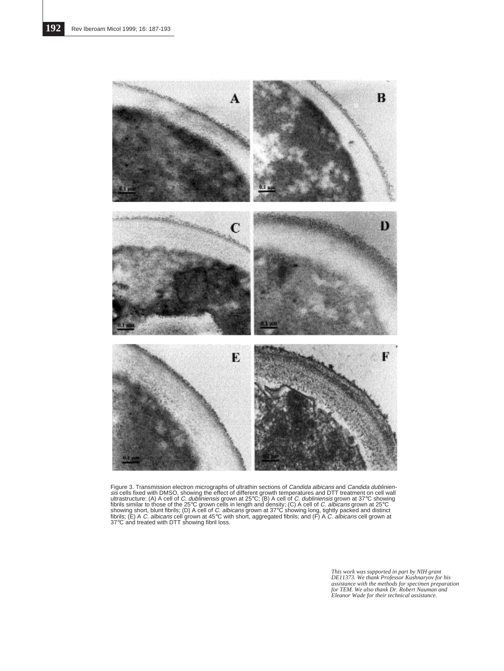

Figure 3. Transmission electron micrographs of ultrathin sections of *Candida albicans* and *Candida dublinien-*<br>siz cells fixed with DMSO, showing the effect of different growth temperatures and DTT treatment on cell wall

*This work was supported in part by NIH grant DE11373. We thank Professor Kushnaryov for his assistance with the methods for specimen preparation for TEM. We also thank Dr. Robert Nauman and Eleanor Wade for their technical assistance.*